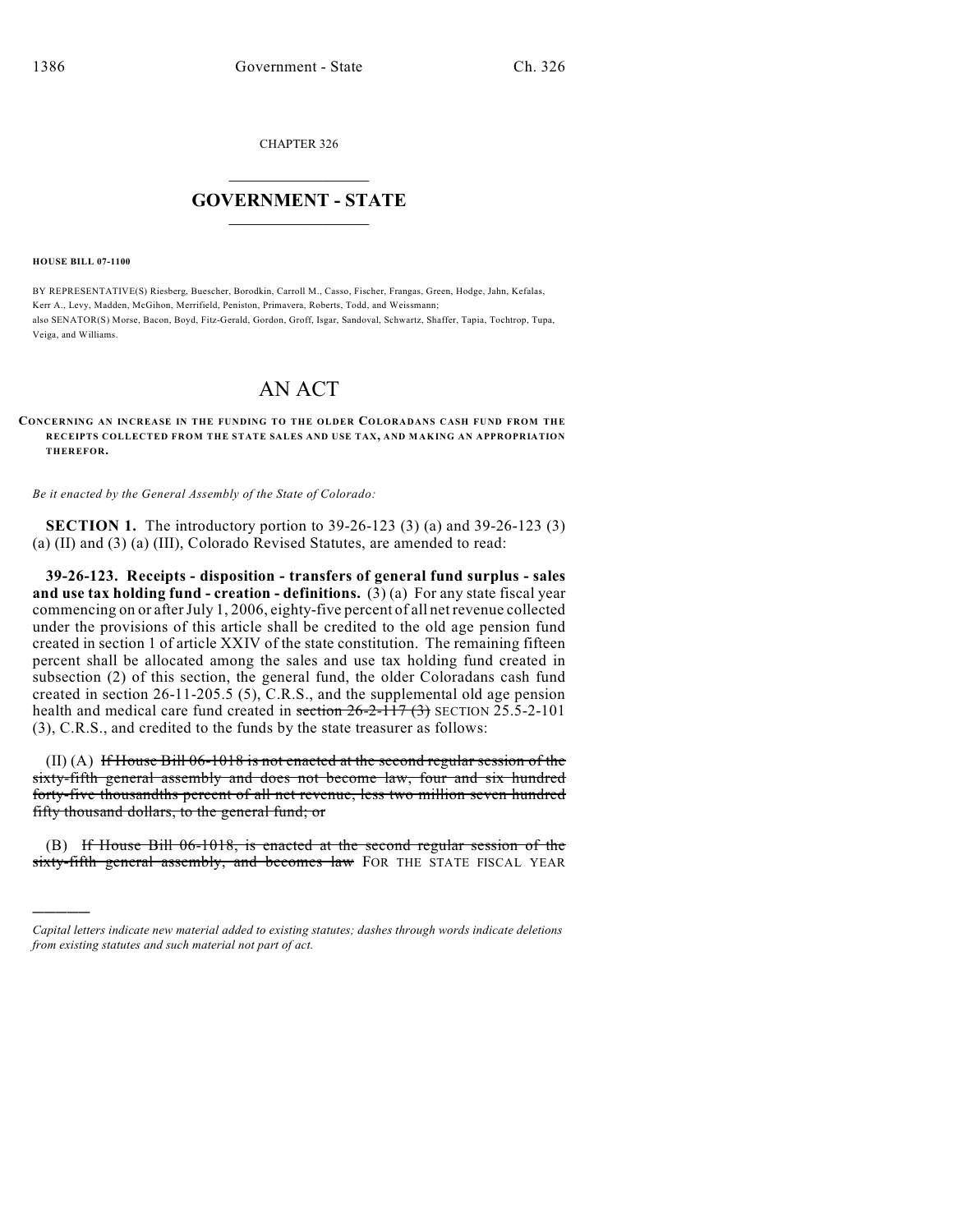CHAPTER 326

## $\overline{\phantom{a}}$  . The set of the set of the set of the set of the set of the set of the set of the set of the set of the set of the set of the set of the set of the set of the set of the set of the set of the set of the set o **GOVERNMENT - STATE**  $\_$

**HOUSE BILL 07-1100**

)))))

BY REPRESENTATIVE(S) Riesberg, Buescher, Borodkin, Carroll M., Casso, Fischer, Frangas, Green, Hodge, Jahn, Kefalas, Kerr A., Levy, Madden, McGihon, Merrifield, Peniston, Primavera, Roberts, Todd, and Weissmann; also SENATOR(S) Morse, Bacon, Boyd, Fitz-Gerald, Gordon, Groff, Isgar, Sandoval, Schwartz, Shaffer, Tapia, Tochtrop, Tupa, Veiga, and Williams.

## AN ACT

## **CONCERNING AN INCREASE IN THE FUNDING TO THE OLDER COLORADANS CASH FUND FROM THE RECEIPTS COLLECTED FROM THE STATE SALES AND USE TAX, AND MAKING AN APPROPRIATION THEREFOR.**

*Be it enacted by the General Assembly of the State of Colorado:*

**SECTION 1.** The introductory portion to 39-26-123 (3) (a) and 39-26-123 (3) (a) (II) and (3) (a) (III), Colorado Revised Statutes, are amended to read:

**39-26-123. Receipts - disposition - transfers of general fund surplus - sales and use tax holding fund - creation - definitions.**  $(3)(a)$  For any state fiscal year commencing on or after July 1, 2006, eighty-five percent of all net revenue collected under the provisions of this article shall be credited to the old age pension fund created in section 1 of article XXIV of the state constitution. The remaining fifteen percent shall be allocated among the sales and use tax holding fund created in subsection (2) of this section, the general fund, the older Coloradans cash fund created in section 26-11-205.5 (5), C.R.S., and the supplemental old age pension health and medical care fund created in section  $26-2-117$  (3) SECTION 25.5-2-101 (3), C.R.S., and credited to the funds by the state treasurer as follows:

(II) (A) If House Bill 06-1018 is not enacted at the second regular session of the sixty-fifth general assembly and does not become law, four and six hundred forty-five thousandths percent of all net revenue, less two million seven hundred fifty thousand dollars, to the general fund; or

(B) If House Bill 06-1018, is enacted at the second regular session of the sixty-fifth general assembly, and becomes law FOR THE STATE FISCAL YEAR

*Capital letters indicate new material added to existing statutes; dashes through words indicate deletions from existing statutes and such material not part of act.*